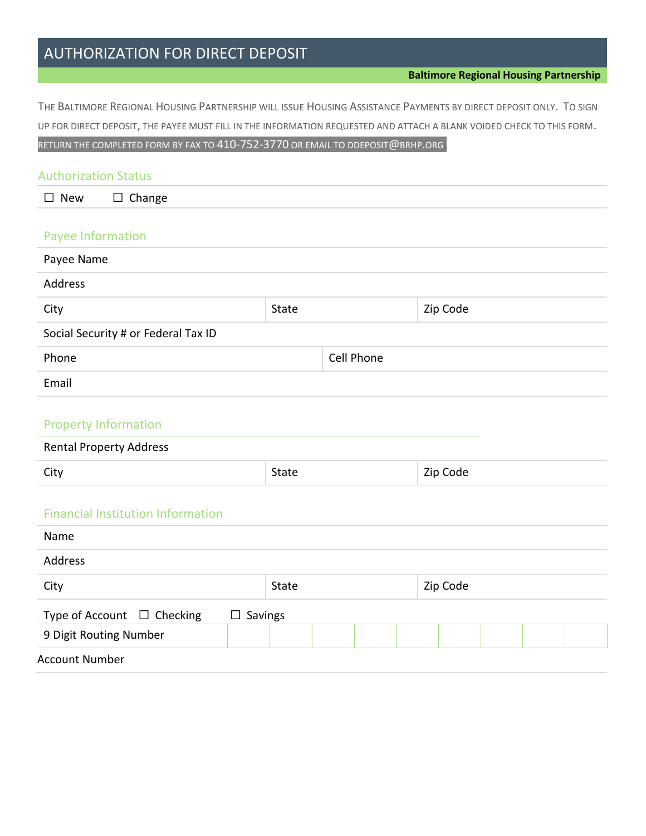# AUTHORIZATION FOR DIRECT DEPOSIT

THE BALTIMORE REGIONAL HOUSING PARTNERSHIP WILL ISSUE HOUSING ASSISTANCE PAYMENTS BY DIRECT DEPOSIT ONLY. TO SIGN UP FOR DIRECT DEPOSIT, THE PAYEE MUST FILL IN THE INFORMATION REQUESTED AND ATTACH A BLANK VOIDED CHECK TO THIS FORM. RETURN THE COMPLETED FORM BY FAX TO 410-752-3770 OR EMAIL TO DDEPOSIT@BRHP.ORG.

| <b>Authorization Status</b>         |       |            |          |
|-------------------------------------|-------|------------|----------|
| $\square$ New<br>Change<br>$\Box$   |       |            |          |
| Payee Information                   |       |            |          |
| Payee Name                          |       |            |          |
| Address                             |       |            |          |
| City                                | State |            | Zip Code |
| Social Security # or Federal Tax ID |       |            |          |
| Phone                               |       | Cell Phone |          |
| Email                               |       |            |          |
|                                     |       |            |          |

#### Property Information

| <b>Rental Property Address</b> |       |          |
|--------------------------------|-------|----------|
| City                           | State | Zip Code |

#### Financial Institution Information

| Name                            |                |  |  |  |          |  |  |  |
|---------------------------------|----------------|--|--|--|----------|--|--|--|
| Address                         |                |  |  |  |          |  |  |  |
| City                            | <b>State</b>   |  |  |  | Zip Code |  |  |  |
| Type of Account $\Box$ Checking | $\Box$ Savings |  |  |  |          |  |  |  |
| 9 Digit Routing Number          |                |  |  |  |          |  |  |  |
| <b>Account Number</b>           |                |  |  |  |          |  |  |  |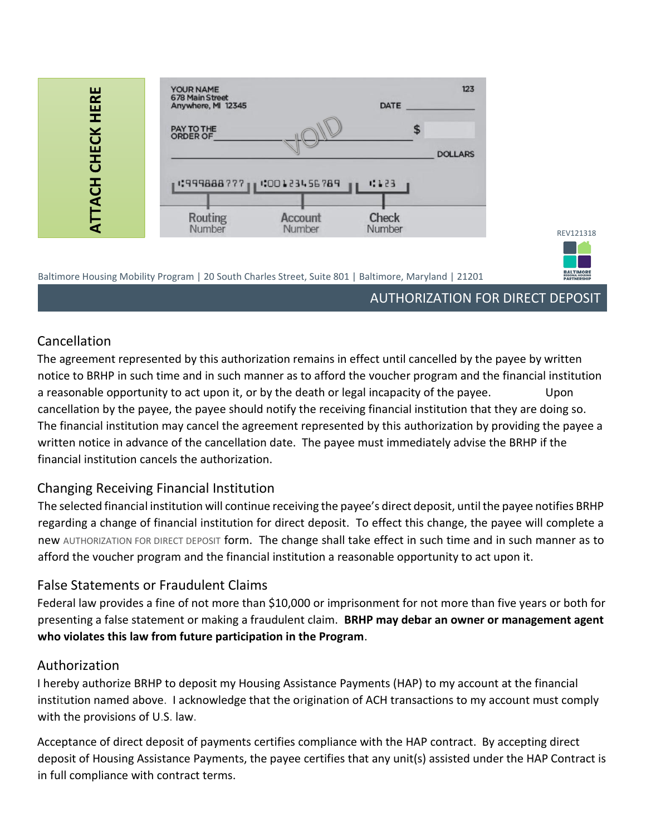| ш<br><b>HER</b>    | YOUR NAME<br>678 Main Street<br>Anywhere, MI 12345 |                           | <b>DATE</b>     | 123            |
|--------------------|----------------------------------------------------|---------------------------|-----------------|----------------|
| <b>CHECK</b>       | PAY TO THE<br><b>ORDER OF</b>                      |                           |                 | <b>DOLLARS</b> |
| <b>3</b>           |                                                    | 1:999888777 1:00123456789 | 4123            |                |
| $\bar{\mathbf{A}}$ | Routing<br>Number                                  | <b>Account</b><br>Number  | Check<br>Number |                |

#### Baltimore Housing Mobility Program | 20 South Charles Street, Suite 801 | Baltimore, Maryland | 21201

## AUTHORIZATION FOR DIRECT DEPOSIT

REV121318

**BALTIMORE**<br>REGIONAL HOUSING

### Cancellation

The agreement represented by this authorization remains in effect until cancelled by the payee by written notice to BRHP in such time and in such manner as to afford the voucher program and the financial institution a reasonable opportunity to act upon it, or by the death or legal incapacity of the payee. Upon cancellation by the payee, the payee should notify the receiving financial institution that they are doing so. The financial institution may cancel the agreement represented by this authorization by providing the payee a written notice in advance of the cancellation date. The payee must immediately advise the BRHP if the financial institution cancels the authorization.

### Changing Receiving Financial Institution

The selected financial institution will continue receiving the payee's direct deposit, until the payee notifies BRHP regarding a change of financial institution for direct deposit. To effect this change, the payee will complete a new AUTHORIZATION FOR DIRECT DEPOSIT form. The change shall take effect in such time and in such manner as to afford the voucher program and the financial institution a reasonable opportunity to act upon it.

### False Statements or Fraudulent Claims

Federal law provides a fine of not more than \$10,000 or imprisonment for not more than five years or both for presenting a false statement or making a fraudulent claim. **BRHP may debar an owner or management agent who violates this law from future participation in the Program**.

### Authorization

I hereby authorize BRHP to deposit my Housing Assistance Payments (HAP) to my account at the financial institution named above. I acknowledge that the origination of ACH transactions to my account must comply with the provisions of U.S. law.

Acceptance of direct deposit of payments certifies compliance with the HAP contract. By accepting direct deposit of Housing Assistance Payments, the payee certifies that any unit(s) assisted under the HAP Contract is in full compliance with contract terms.